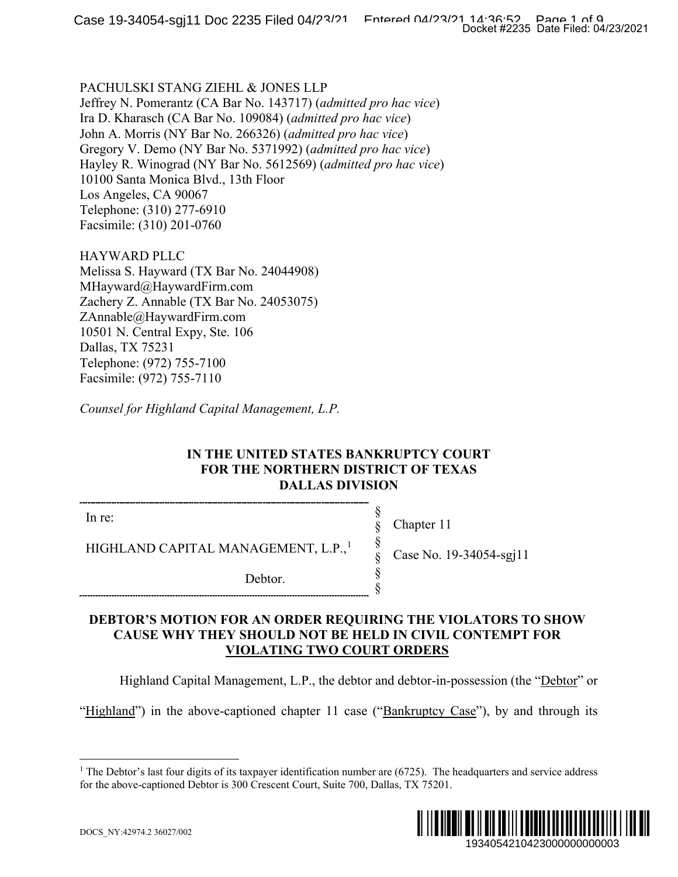#### PACHULSKI STANG ZIEHL & JONES LLP

Jeffrey N. Pomerantz (CA Bar No. 143717) (*admitted pro hac vice*) Ira D. Kharasch (CA Bar No. 109084) (*admitted pro hac vice*) John A. Morris (NY Bar No. 266326) (*admitted pro hac vice*) Gregory V. Demo (NY Bar No. 5371992) (*admitted pro hac vice*) Hayley R. Winograd (NY Bar No. 5612569) (*admitted pro hac vice*) 10100 Santa Monica Blvd., 13th Floor Los Angeles, CA 90067 Telephone: (310) 277-6910 Facsimile: (310) 201-0760

HAYWARD PLLC Melissa S. Hayward (TX Bar No. 24044908) MHayward@HaywardFirm.com Zachery Z. Annable (TX Bar No. 24053075) ZAnnable@HaywardFirm.com 10501 N. Central Expy, Ste. 106 Dallas, TX 75231 Telephone: (972) 755-7100 Facsimile: (972) 755-7110

*Counsel for Highland Capital Management, L.P.*

## **IN THE UNITED STATES BANKRUPTCY COURT FOR THE NORTHERN DISTRICT OF TEXAS DALLAS DIVISION**

§ § § § § §

In re:

HIGHLAND CAPITAL MANAGEMENT, L.P.,<sup>[1](#page-0-0)</sup>

Debtor.

Chapter 11 Case No. 19-34054-sgj11

## **DEBTOR'S MOTION FOR AN ORDER REQUIRING THE VIOLATORS TO SHOW CAUSE WHY THEY SHOULD NOT BE HELD IN CIVIL CONTEMPT FOR VIOLATING TWO COURT ORDERS**

Highland Capital Management, L.P., the debtor and debtor-in-possession (the "Debtor" or

<span id="page-0-0"></span>"Highland") in the above-captioned chapter 11 case ("Bankruptcy Case"), by and through its

<sup>&</sup>lt;sup>1</sup> The Debtor's last four digits of its taxpayer identification number are  $(6725)$ . The headquarters and service address for the above-captioned Debtor is 300 Crescent Court, Suite 700, Dallas, TX 75201.

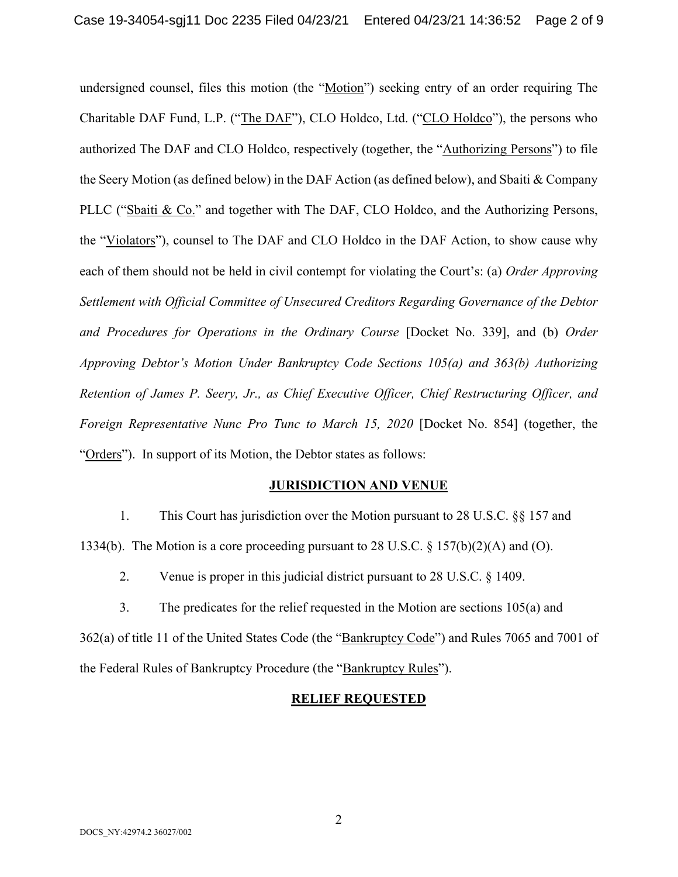undersigned counsel, files this motion (the "Motion") seeking entry of an order requiring The Charitable DAF Fund, L.P. ("The DAF"), CLO Holdco, Ltd. ("CLO Holdco"), the persons who authorized The DAF and CLO Holdco, respectively (together, the "Authorizing Persons") to file the Seery Motion (as defined below) in the DAF Action (as defined below), and Sbaiti & Company PLLC ("Sbaiti & Co." and together with The DAF, CLO Holdco, and the Authorizing Persons, the "Violators"), counsel to The DAF and CLO Holdco in the DAF Action, to show cause why each of them should not be held in civil contempt for violating the Court's: (a) *Order Approving Settlement with Official Committee of Unsecured Creditors Regarding Governance of the Debtor and Procedures for Operations in the Ordinary Course* [Docket No. 339], and (b) *Order Approving Debtor's Motion Under Bankruptcy Code Sections 105(a) and 363(b) Authorizing Retention of James P. Seery, Jr., as Chief Executive Officer, Chief Restructuring Officer, and Foreign Representative Nunc Pro Tunc to March 15, 2020* [Docket No. 854] (together, the "Orders"). In support of its Motion, the Debtor states as follows:

#### **JURISDICTION AND VENUE**

1. This Court has jurisdiction over the Motion pursuant to 28 U.S.C. §§ 157 and 1334(b). The Motion is a core proceeding pursuant to 28 U.S.C.  $\S$  157(b)(2)(A) and (O).

2. Venue is proper in this judicial district pursuant to 28 U.S.C. § 1409.

3. The predicates for the relief requested in the Motion are sections 105(a) and 362(a) of title 11 of the United States Code (the "Bankruptcy Code") and Rules 7065 and 7001 of the Federal Rules of Bankruptcy Procedure (the "Bankruptcy Rules").

## **RELIEF REQUESTED**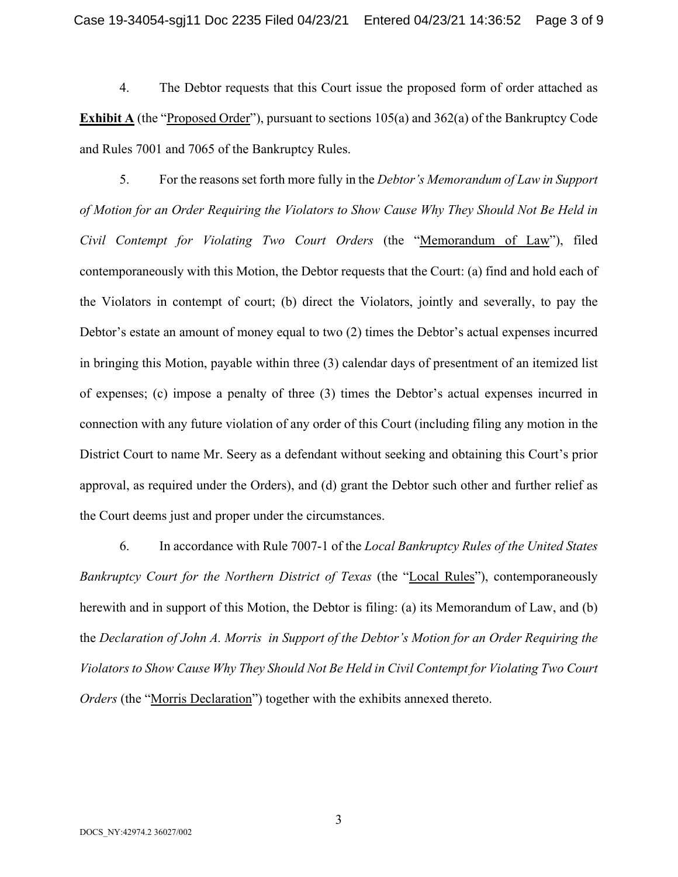4. The Debtor requests that this Court issue the proposed form of order attached as **Exhibit A** (the "Proposed Order"), pursuant to sections 105(a) and 362(a) of the Bankruptcy Code and Rules 7001 and 7065 of the Bankruptcy Rules.

5. For the reasons set forth more fully in the *Debtor's Memorandum of Law in Support of Motion for an Order Requiring the Violators to Show Cause Why They Should Not Be Held in Civil Contempt for Violating Two Court Orders* (the "Memorandum of Law"), filed contemporaneously with this Motion, the Debtor requests that the Court: (a) find and hold each of the Violators in contempt of court; (b) direct the Violators, jointly and severally, to pay the Debtor's estate an amount of money equal to two (2) times the Debtor's actual expenses incurred in bringing this Motion, payable within three (3) calendar days of presentment of an itemized list of expenses; (c) impose a penalty of three (3) times the Debtor's actual expenses incurred in connection with any future violation of any order of this Court (including filing any motion in the District Court to name Mr. Seery as a defendant without seeking and obtaining this Court's prior approval, as required under the Orders), and (d) grant the Debtor such other and further relief as the Court deems just and proper under the circumstances.

6. In accordance with Rule 7007-1 of the *Local Bankruptcy Rules of the United States Bankruptcy Court for the Northern District of Texas* (the "Local Rules"), contemporaneously herewith and in support of this Motion, the Debtor is filing: (a) its Memorandum of Law, and (b) the *Declaration of John A. Morris in Support of the Debtor's Motion for an Order Requiring the Violators to Show Cause Why They Should Not Be Held in Civil Contempt for Violating Two Court Orders* (the "Morris Declaration") together with the exhibits annexed thereto.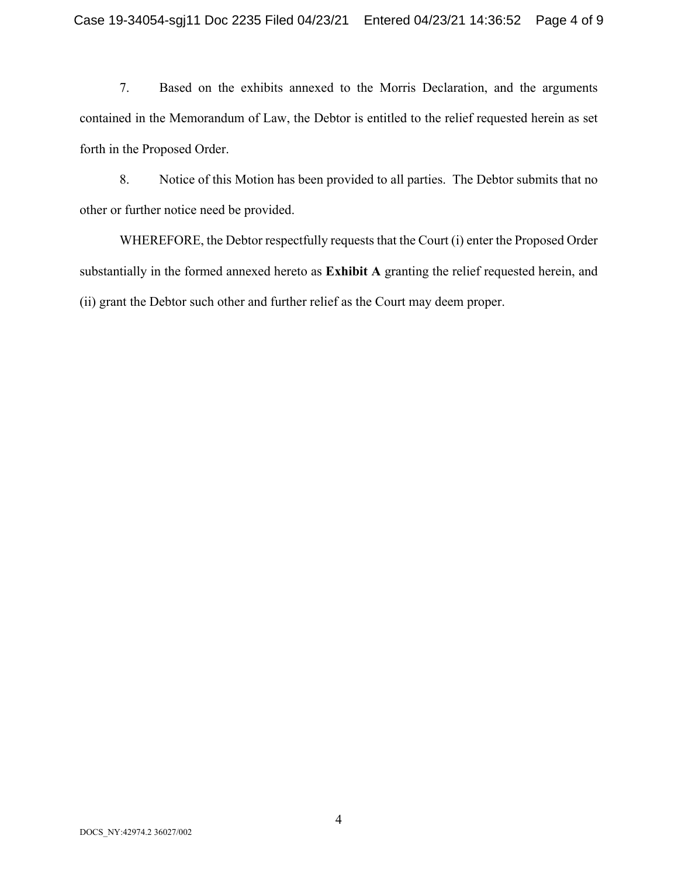7. Based on the exhibits annexed to the Morris Declaration, and the arguments contained in the Memorandum of Law, the Debtor is entitled to the relief requested herein as set forth in the Proposed Order.

8. Notice of this Motion has been provided to all parties. The Debtor submits that no other or further notice need be provided.

WHEREFORE, the Debtor respectfully requests that the Court (i) enter the Proposed Order substantially in the formed annexed hereto as **Exhibit A** granting the relief requested herein, and (ii) grant the Debtor such other and further relief as the Court may deem proper.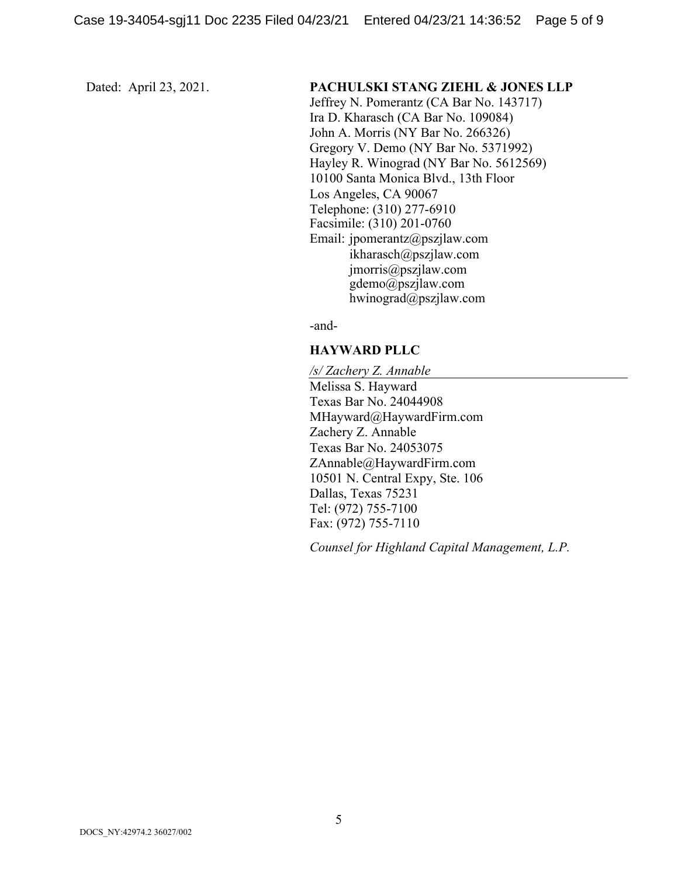#### Dated: April 23, 2021. **PACHULSKI STANG ZIEHL & JONES LLP**

Jeffrey N. Pomerantz (CA Bar No. 143717) Ira D. Kharasch (CA Bar No. 109084) John A. Morris (NY Bar No. 266326) Gregory V. Demo (NY Bar No. 5371992) Hayley R. Winograd (NY Bar No. 5612569) 10100 Santa Monica Blvd., 13th Floor Los Angeles, CA 90067 Telephone: (310) 277-6910 Facsimile: (310) 201-0760 Email: jpomerantz@pszjlaw.com ikharasch@pszjlaw.com jmorris@pszjlaw.com gdemo@pszjlaw.com hwinograd@pszjlaw.com

-and-

#### **HAYWARD PLLC**

*/s/ Zachery Z. Annable* Melissa S. Hayward Texas Bar No. 24044908 MHayward@HaywardFirm.com Zachery Z. Annable Texas Bar No. 24053075 ZAnnable@HaywardFirm.com 10501 N. Central Expy, Ste. 106 Dallas, Texas 75231 Tel: (972) 755-7100 Fax: (972) 755-7110

*Counsel for Highland Capital Management, L.P.*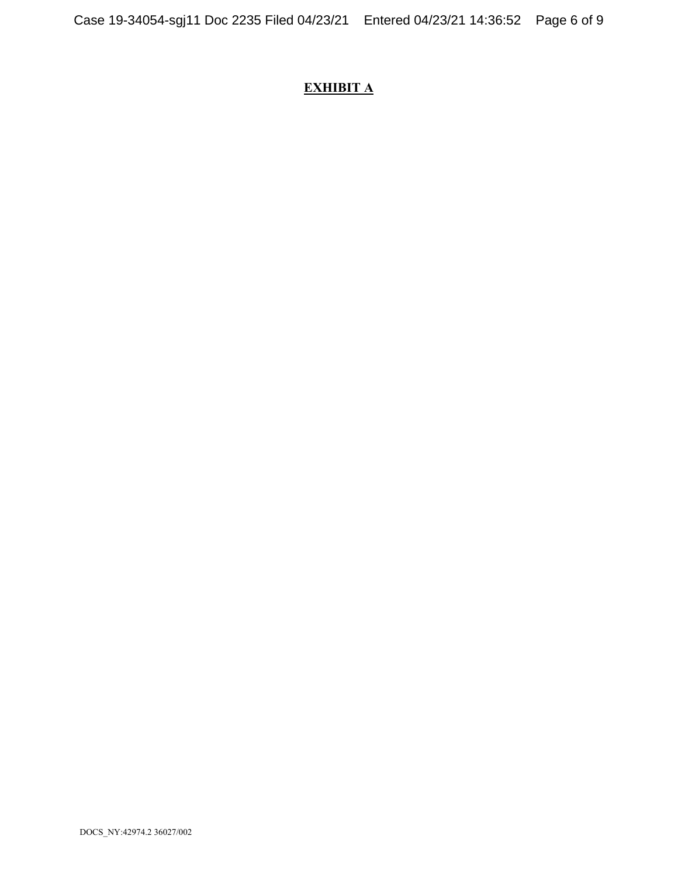# **EXHIBIT A**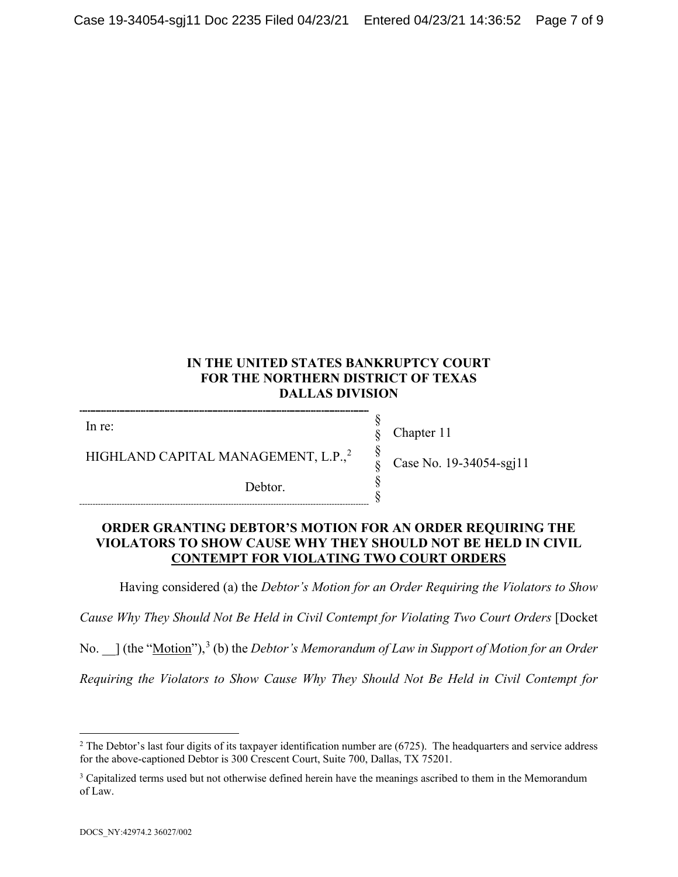# **IN THE UNITED STATES BANKRUPTCY COURT FOR THE NORTHERN DISTRICT OF TEXAS DALLAS DIVISION**

In re:

HIGHLAND CAPITAL MANAGEMENT, L.P.,<sup>[2](#page-6-0)</sup>

Debtor.

Chapter 11

§ § § § § §

Case No. 19-34054-sgj11

## **ORDER GRANTING DEBTOR'S MOTION FOR AN ORDER REQUIRING THE VIOLATORS TO SHOW CAUSE WHY THEY SHOULD NOT BE HELD IN CIVIL CONTEMPT FOR VIOLATING TWO COURT ORDERS**

Having considered (a) the *Debtor's Motion for an Order Requiring the Violators to Show* 

*Cause Why They Should Not Be Held in Civil Contempt for Violating Two Court Orders* [Docket

No.  $\Box$  (the "<u>Motion</u>"),<sup>[3](#page-6-1)</sup> (b) the *Debtor's Memorandum of Law in Support of Motion for an Order* 

*Requiring the Violators to Show Cause Why They Should Not Be Held in Civil Contempt for* 

<span id="page-6-0"></span> $2$  The Debtor's last four digits of its taxpayer identification number are (6725). The headquarters and service address for the above-captioned Debtor is 300 Crescent Court, Suite 700, Dallas, TX 75201.

<span id="page-6-1"></span><sup>&</sup>lt;sup>3</sup> Capitalized terms used but not otherwise defined herein have the meanings ascribed to them in the Memorandum of Law.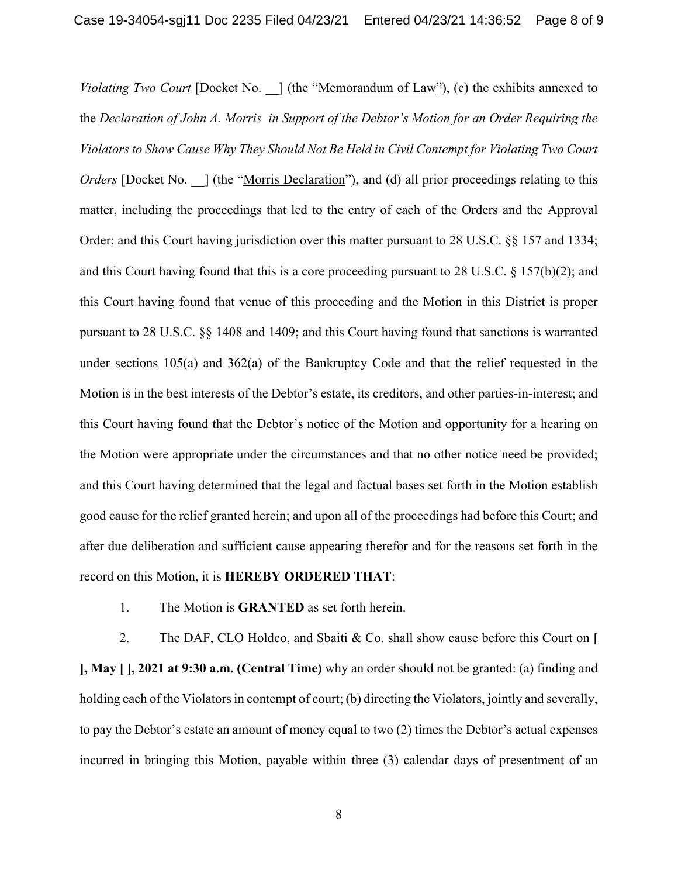*Violating Two Court* [Docket No. ] (the "Memorandum of Law"), (c) the exhibits annexed to the *Declaration of John A. Morris in Support of the Debtor's Motion for an Order Requiring the Violators to Show Cause Why They Should Not Be Held in Civil Contempt for Violating Two Court Orders* [Docket No. ] (the "Morris Declaration"), and (d) all prior proceedings relating to this matter, including the proceedings that led to the entry of each of the Orders and the Approval Order; and this Court having jurisdiction over this matter pursuant to 28 U.S.C. §§ 157 and 1334; and this Court having found that this is a core proceeding pursuant to 28 U.S.C. § 157(b)(2); and this Court having found that venue of this proceeding and the Motion in this District is proper pursuant to 28 U.S.C. §§ 1408 and 1409; and this Court having found that sanctions is warranted under sections 105(a) and 362(a) of the Bankruptcy Code and that the relief requested in the Motion is in the best interests of the Debtor's estate, its creditors, and other parties-in-interest; and this Court having found that the Debtor's notice of the Motion and opportunity for a hearing on the Motion were appropriate under the circumstances and that no other notice need be provided; and this Court having determined that the legal and factual bases set forth in the Motion establish good cause for the relief granted herein; and upon all of the proceedings had before this Court; and after due deliberation and sufficient cause appearing therefor and for the reasons set forth in the record on this Motion, it is **HEREBY ORDERED THAT**:

1. The Motion is **GRANTED** as set forth herein.

2. The DAF, CLO Holdco, and Sbaiti & Co. shall show cause before this Court on **[ ], May [ ], 2021 at 9:30 a.m. (Central Time)** why an order should not be granted: (a) finding and holding each of the Violators in contempt of court; (b) directing the Violators, jointly and severally, to pay the Debtor's estate an amount of money equal to two (2) times the Debtor's actual expenses incurred in bringing this Motion, payable within three (3) calendar days of presentment of an